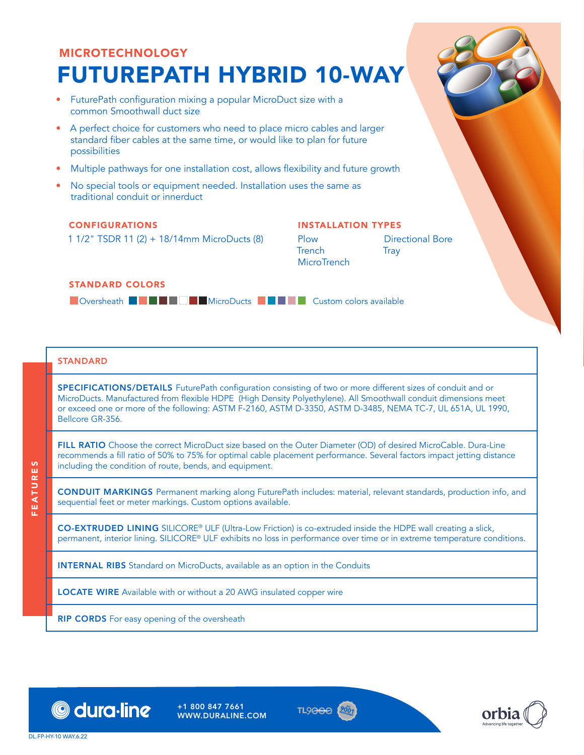# MICROTECHNOLOGY FUTUREPATH HYBRID 10-WAY

- FuturePath configuration mixing a popular MicroDuct size with a common Smoothwall duct size
- A perfect choice for customers who need to place micro cables and larger standard fiber cables at the same time, or would like to plan for future possibilities
- Multiple pathways for one installation cost, allows flexibility and future growth
- No special tools or equipment needed. Installation uses the same as traditional conduit or innerduct

#### CONFIGURATIONS

1 1/2" TSDR 11 (2) + 18/14mm MicroDucts (8)

## INSTALLATION TYPES

Plow

**Trench MicroTrench** 

Directional Bore **Trav** 

#### STANDARD COLORS

**DOversheath BDGCFWGFWGFWGFWS MICROPORTIES** Custom colors available

### **STANDARD**

SPECIFICATIONS/DETAILS FuturePath configuration consisting of two or more different sizes of conduit and or MicroDucts. Manufactured from flexible HDPE (High Density Polyethylene). All Smoothwall conduit dimensions meet or exceed one or more of the following: ASTM F-2160, ASTM D-3350, ASTM D-3485, NEMA TC-7, UL 651A, UL 1990, Bellcore GR-356.

FILL RATIO Choose the correct MicroDuct size based on the Outer Diameter (OD) of desired MicroCable. Dura-Line recommends a fill ratio of 50% to 75% for optimal cable placement performance. Several factors impact jetting distance including the condition of route, bends, and equipment.

CONDUIT MARKINGS Permanent marking along FuturePath includes: material, relevant standards, production info, and sequential feet or meter markings. Custom options available.

CO-EXTRUDED LINING SILICORE® ULF (Ultra-Low Friction) is co-extruded inside the HDPE wall creating a slick, permanent, interior lining. SILICORE® ULF exhibits no loss in performance over time or in extreme temperature conditions.

INTERNAL RIBS Standard on MicroDucts, available as an option in the Conduits

LOCATE WIRE Available with or without a 20 AWG insulated copper wire

**RIP CORDS** For easy opening of the oversheath



+1 800 847 7661 WWW.DURALINE.COM





FEATURES

區

EATURES